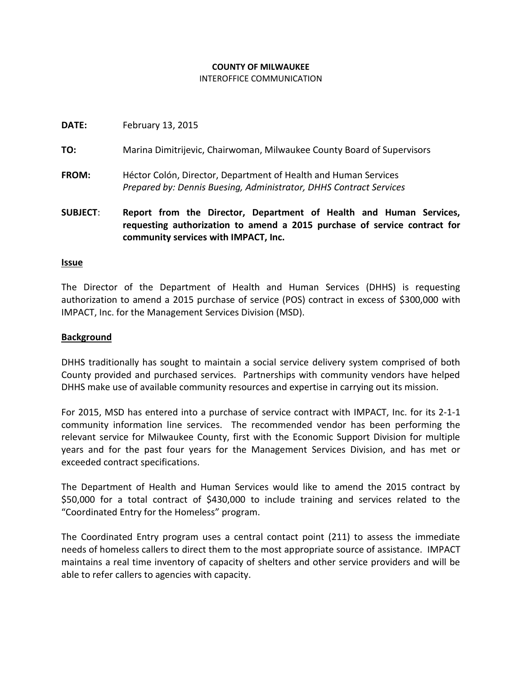# **COUNTY OF MILWAUKEE**

# INTEROFFICE COMMUNICATION

| <b>SUBJECT:</b> | Report from the Director, Department of Health and Human Services,<br>requesting outherization to amend a 2015 nurshase of semice contract for |
|-----------------|------------------------------------------------------------------------------------------------------------------------------------------------|
| FROM:           | Héctor Colón, Director, Department of Health and Human Services<br>Prepared by: Dennis Buesing, Administrator, DHHS Contract Services          |
| TO:             | Marina Dimitrijevic, Chairwoman, Milwaukee County Board of Supervisors                                                                         |
| DATE:           | February 13, 2015                                                                                                                              |

# **requesting authorization to amend a 2015 purchase of service contract for community services with IMPACT, Inc.**

#### **Issue**

The Director of the Department of Health and Human Services (DHHS) is requesting authorization to amend a 2015 purchase of service (POS) contract in excess of \$300,000 with IMPACT, Inc. for the Management Services Division (MSD).

# **Background**

DHHS traditionally has sought to maintain a social service delivery system comprised of both County provided and purchased services. Partnerships with community vendors have helped DHHS make use of available community resources and expertise in carrying out its mission.

For 2015, MSD has entered into a purchase of service contract with IMPACT, Inc. for its 2-1-1 community information line services. The recommended vendor has been performing the relevant service for Milwaukee County, first with the Economic Support Division for multiple years and for the past four years for the Management Services Division, and has met or exceeded contract specifications.

The Department of Health and Human Services would like to amend the 2015 contract by \$50,000 for a total contract of \$430,000 to include training and services related to the "Coordinated Entry for the Homeless" program.

The Coordinated Entry program uses a central contact point (211) to assess the immediate needs of homeless callers to direct them to the most appropriate source of assistance. IMPACT maintains a real time inventory of capacity of shelters and other service providers and will be able to refer callers to agencies with capacity.